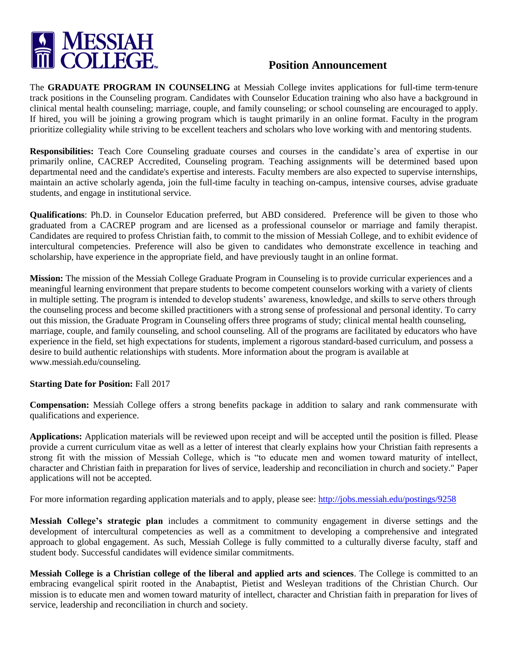

## **Position Announcement**

The **GRADUATE PROGRAM IN COUNSELING** at Messiah College invites applications for full-time term-tenure track positions in the Counseling program. Candidates with Counselor Education training who also have a background in clinical mental health counseling; marriage, couple, and family counseling; or school counseling are encouraged to apply. If hired, you will be joining a growing program which is taught primarily in an online format. Faculty in the program prioritize collegiality while striving to be excellent teachers and scholars who love working with and mentoring students.

**Responsibilities:** Teach Core Counseling graduate courses and courses in the candidate's area of expertise in our primarily online, CACREP Accredited, Counseling program. Teaching assignments will be determined based upon departmental need and the candidate's expertise and interests. Faculty members are also expected to supervise internships, maintain an active scholarly agenda, join the full-time faculty in teaching on-campus, intensive courses, advise graduate students, and engage in institutional service.

**Qualifications**: Ph.D. in Counselor Education preferred, but ABD considered. Preference will be given to those who graduated from a CACREP program and are licensed as a professional counselor or marriage and family therapist. Candidates are required to profess Christian faith, to commit to the mission of Messiah College, and to exhibit evidence of intercultural competencies. Preference will also be given to candidates who demonstrate excellence in teaching and scholarship, have experience in the appropriate field, and have previously taught in an online format.

**Mission:** The mission of the Messiah College Graduate Program in Counseling is to provide curricular experiences and a meaningful learning environment that prepare students to become competent counselors working with a variety of clients in multiple setting. The program is intended to develop students' awareness, knowledge, and skills to serve others through the counseling process and become skilled practitioners with a strong sense of professional and personal identity. To carry out this mission, the Graduate Program in Counseling offers three programs of study; clinical mental health counseling, marriage, couple, and family counseling, and school counseling. All of the programs are facilitated by educators who have experience in the field, set high expectations for students, implement a rigorous standard-based curriculum, and possess a desire to build authentic relationships with students. More information about the program is available at www.messiah.edu/counseling.

## **Starting Date for Position:** Fall 2017

**Compensation:** Messiah College offers a strong benefits package in addition to salary and rank commensurate with qualifications and experience.

**Applications:** Application materials will be reviewed upon receipt and will be accepted until the position is filled. Please provide a current curriculum vitae as well as a letter of interest that clearly explains how your Christian faith represents a strong fit with the mission of Messiah College, which is "to educate men and women toward maturity of intellect, character and Christian faith in preparation for lives of service, leadership and reconciliation in church and society." Paper applications will not be accepted.

For more information regarding application materials and to apply, please see: <http://jobs.messiah.edu/postings/9258>

**Messiah College's strategic plan** includes a commitment to community engagement in diverse settings and the development of intercultural competencies as well as a commitment to developing a comprehensive and integrated approach to global engagement. As such, Messiah College is fully committed to a culturally diverse faculty, staff and student body. Successful candidates will evidence similar commitments.

**Messiah College is a Christian college of the liberal and applied arts and sciences**. The College is committed to an embracing evangelical spirit rooted in the Anabaptist, Pietist and Wesleyan traditions of the Christian Church. Our mission is to educate men and women toward maturity of intellect, character and Christian faith in preparation for lives of service, leadership and reconciliation in church and society.